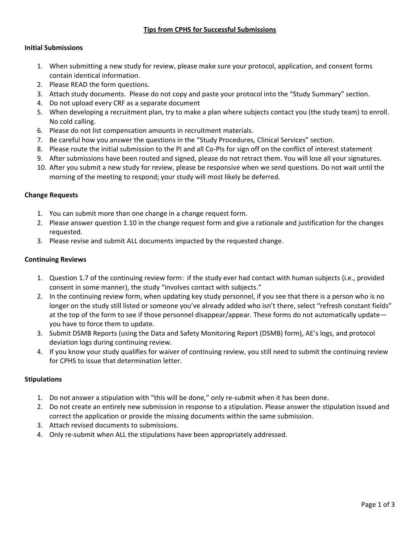# **Tips from CPHS for Successful Submissions**

### **Initial Submissions**

- 1. When submitting a new study for review, please make sure your protocol, application, and consent forms contain identical information.
- 2. Please READ the form questions.
- 3. Attach study documents. Please do not copy and paste your protocol into the "Study Summary" section.
- 4. Do not upload every CRF as a separate document
- 5. When developing a recruitment plan, try to make a plan where subjects contact you (the study team) to enroll. No cold calling.
- 6. Please do not list compensation amounts in recruitment materials.
- 7. Be careful how you answer the questions in the "Study Procedures, Clinical Services" section.
- 8. Please route the initial submission to the PI and all Co-PIs for sign off on the conflict of interest statement
- 9. After submissions have been routed and signed, please do not retract them. You will lose all your signatures.
- 10. After you submit a new study for review, please be responsive when we send questions. Do not wait until the morning of the meeting to respond; your study will most likely be deferred.

### **Change Requests**

- 1. You can submit more than one change in a change request form.
- 2. Please answer question 1.10 in the change request form and give a rationale and justification for the changes requested.
- 3. Please revise and submit ALL documents impacted by the requested change.

### **Continuing Reviews**

- 1. Question 1.7 of the continuing review form: if the study ever had contact with human subjects (i.e., provided consent in some manner), the study "involves contact with subjects."
- 2. In the continuing review form, when updating key study personnel, if you see that there is a person who is no longer on the study still listed or someone you've already added who isn't there, select "refresh constant fields" at the top of the form to see if those personnel disappear/appear. These forms do not automatically update you have to force them to update.
- 3. Submit DSMB Reports (using the Data and Safety Monitoring Report (DSMB) form), AE's logs, and protocol deviation logs during continuing review.
- 4. If you know your study qualifies for waiver of continuing review, you still need to submit the continuing review for CPHS to issue that determination letter.

# **Stipulations**

- 1. Do not answer a stipulation with "this will be done," only re-submit when it has been done.
- 2. Do not create an entirely new submission in response to a stipulation. Please answer the stipulation issued and correct the application or provide the missing documents within the same submission.
- 3. Attach revised documents to submissions.
- 4. Only re-submit when ALL the stipulations have been appropriately addressed.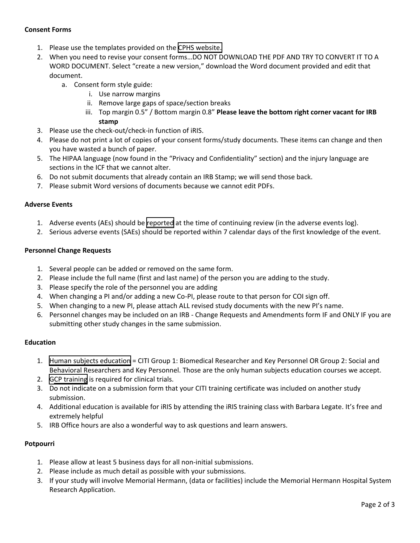# **Consent Forms**

- 1. Please use the templates provided on the [CPHS website.](https://www.uth.edu/cphs/templates-and-forms/)
- 2. When you need to revise your consent forms…DO NOT DOWNLOAD THE PDF AND TRY TO CONVERT IT TO A WORD DOCUMENT. Select "create a new version," download the Word document provided and edit that document.
	- a. Consent form style guide:
		- i. Use narrow margins
		- ii. Remove large gaps of space/section breaks
		- iii. Top margin 0.5" / Bottom margin 0.8" **Please leave the bottom right corner vacant for IRB stamp**
- 3. Please use the check-out/check-in function of iRIS.
- 4. Please do not print a lot of copies of your consent forms/study documents. These items can change and then you have wasted a bunch of paper.
- 5. The HIPAA language (now found in the "Privacy and Confidentiality" section) and the injury language are sections in the ICF that we cannot alter.
- 6. Do not submit documents that already contain an IRB Stamp; we will send those back.
- 7. Please submit Word versions of documents because we cannot edit PDFs.

### **Adverse Events**

- 1. Adverse events (AEs) should be [reported](https://www.uth.edu/cphs/policies/reporting-problems.htm) at the time of continuing review (in the adverse events log).
- 2. Serious adverse events (SAEs) should be reported within 7 calendar days of the first knowledge of the event.

### **Personnel Change Requests**

- 1. Several people can be added or removed on the same form.
- 2. Please include the full name (first and last name) of the person you are adding to the study.
- 3. Please specify the role of the personnel you are adding
- 4. When changing a PI and/or adding a new Co-PI, please route to that person for COI sign off.
- 5. When changing to a new PI, please attach ALL revised study documents with the new PI's name.
- 6. Personnel changes may be included on an IRB Change Requests and Amendments form IF and ONLY IF you are submitting other study changes in the same submission.

# **Education**

- 1. [Human subjects education](https://www.uth.edu/cphs/for-researchers/training.htm) = CITI Group 1: Biomedical Researcher and Key Personnel OR Group 2: Social and Behavioral Researchers and Key Personnel. Those are the only human subjects education courses we accept.
- 2. [GCP training](https://www.uth.edu/cphs/for-researchers/training.htm) is required for clinical trials.
- 3. Do not indicate on a submission form that your CITI training certificate was included on another study submission.
- 4. Additional education is available for iRIS by attending the iRIS training class with Barbara Legate. It's free and extremely helpful
- 5. IRB Office hours are also a wonderful way to ask questions and learn answers.

# **Potpourri**

- 1. Please allow at least 5 business days for all non-initial submissions.
- 2. Please include as much detail as possible with your submissions.
- 3. If your study will involve Memorial Hermann, (data or facilities) include the Memorial Hermann Hospital System Research Application.